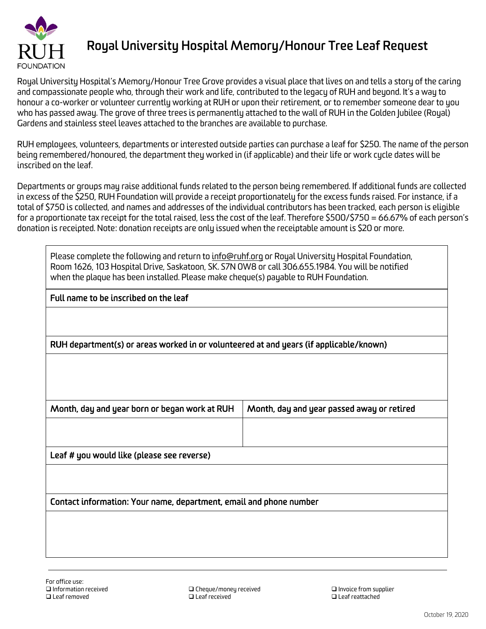

## **Royal University Hospital Memory/Honour Tree Leaf Request**

Royal University Hospital's Memory/Honour Tree Grove provides a visual place that lives on and tells a story of the caring and compassionate people who, through their work and life, contributed to the legacy of RUH and beyond. It's a way to honour a co-worker or volunteer currently working at RUH or upon their retirement, or to remember someone dear to you who has passed away. The grove of three trees is permanently attached to the wall of RUH in the Golden Jubilee (Royal) Gardens and stainless steel leaves attached to the branches are available to purchase.

RUH employees, volunteers, departments or interested outside parties can purchase a leaf for \$250. The name of the person being remembered/honoured, the department they worked in (if applicable) and their life or work cycle dates will be inscribed on the leaf.

Departments or groups may raise additional funds related to the person being remembered. If additional funds are collected in excess of the \$250, RUH Foundation will provide a receipt proportionately for the excess funds raised. For instance, if a total of \$750 is collected, and names and addresses of the individual contributors has been tracked, each person is eligible for a proportionate tax receipt for the total raised, less the cost of the leaf. Therefore \$500/\$750 = 66.67% of each person's donation is receipted. Note: donation receipts are only issued when the receiptable amount is \$20 or more.

| Please complete the following and return to <u>info@ruhf.org</u> or Royal University Hospital Foundation,<br>Room 1626, 103 Hospital Drive, Saskatoon, SK. S7N OW8 or call 306.655.1984. You will be notified<br>when the plaque has been installed. Please make cheque(s) payable to RUH Foundation. |                                            |
|-------------------------------------------------------------------------------------------------------------------------------------------------------------------------------------------------------------------------------------------------------------------------------------------------------|--------------------------------------------|
| Full name to be inscribed on the leaf                                                                                                                                                                                                                                                                 |                                            |
|                                                                                                                                                                                                                                                                                                       |                                            |
| RUH department(s) or areas worked in or volunteered at and years (if applicable/known)                                                                                                                                                                                                                |                                            |
|                                                                                                                                                                                                                                                                                                       |                                            |
| Month, day and year born or began work at RUH                                                                                                                                                                                                                                                         | Month, day and year passed away or retired |
|                                                                                                                                                                                                                                                                                                       |                                            |
| Leaf # you would like (please see reverse)                                                                                                                                                                                                                                                            |                                            |
|                                                                                                                                                                                                                                                                                                       |                                            |
| Contact information: Your name, department, email and phone number                                                                                                                                                                                                                                    |                                            |
|                                                                                                                                                                                                                                                                                                       |                                            |